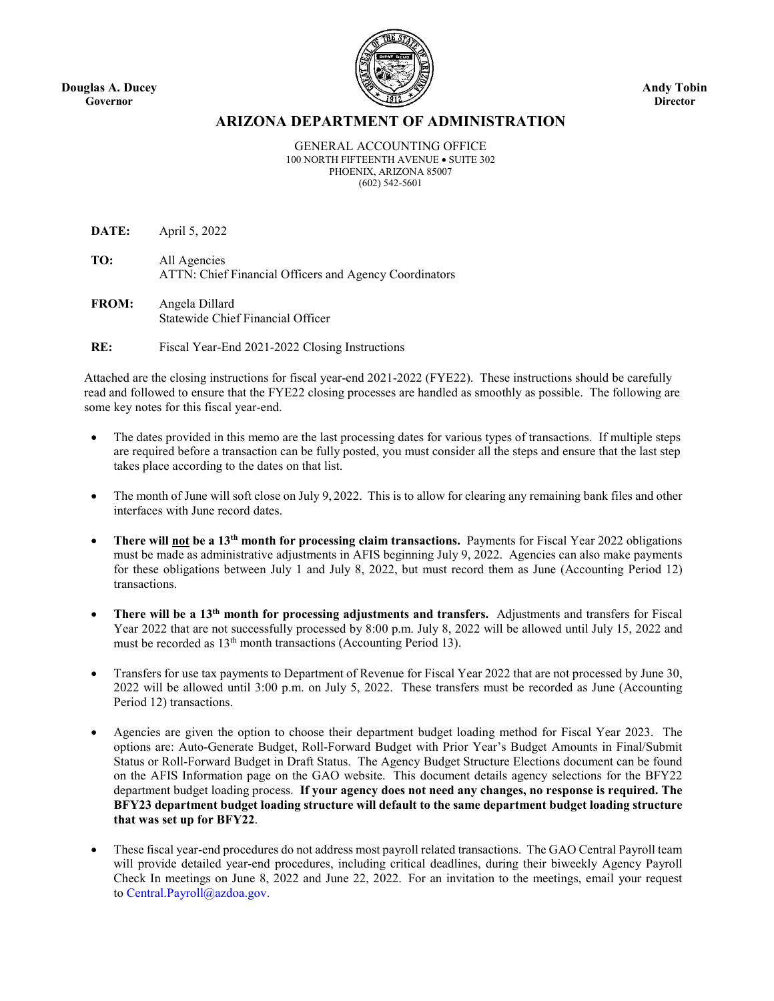**Douglas A. Ducey Governor**



**Andy Tobin Director**

### **ARIZONA DEPARTMENT OF ADMINISTRATION**

GENERAL ACCOUNTING OFFICE 100 NORTH FIFTEENTH AVENUE • SUITE 302 PHOENIX, ARIZONA 85007 (602) 542-5601

**DATE:** April 5, 2022

**TO:** All Agencies ATTN: Chief Financial Officers and Agency Coordinators

**FROM:** Angela Dillard Statewide Chief Financial Officer

**RE:** Fiscal Year-End 2021-2022 Closing Instructions

 Attached are the closing instructions for fiscal year-end 2021-2022 (FYE22). These instructions should be carefully read and followed to ensure that the FYE22 closing processes are handled as smoothly as possible. The following are some key notes for this fiscal year-end.

- The dates provided in this memo are the last processing dates for various types of transactions. If multiple steps are required before a transaction can be fully posted, you must consider all the steps and ensure that the last step takes place according to the dates on that list.
- The month of June will soft close on July 9, 2022. This is to allow for clearing any remaining bank files and other interfaces with June record dates.
- **There will not be a 13th month for processing claim transactions.** Payments for Fiscal Year 2022 obligations must be made as administrative adjustments in AFIS beginning July 9, 2022. Agencies can also make payments for these obligations between July 1 and July 8, 2022, but must record them as June (Accounting Period 12) transactions.
- **There will be a 13th month for processing adjustments and transfers.** Adjustments and transfers for Fiscal Year 2022 that are not successfully processed by 8:00 p.m. July 8, 2022 will be allowed until July 15, 2022 and must be recorded as 13<sup>th</sup> month transactions (Accounting Period 13).
- Transfers for use tax payments to Department of Revenue for Fiscal Year 2022 that are not processed by June 30, 2022 will be allowed until 3:00 p.m. on July 5, 2022. These transfers must be recorded as June (Accounting Period 12) transactions.
- Agencies are given the option to choose their department budget loading method for Fiscal Year 2023. The options are: Auto-Generate Budget, Roll-Forward Budget with Prior Year's Budget Amounts in Final/Submit Status or Roll-Forward Budget in Draft Status. The Agency Budget Structure Elections document can be found on the AFIS Information page on the GAO website. This document details agency selections for the BFY22 department budget loading process. **If your agency does not need any changes, no response is required. The BFY23 department budget loading structure will default to the same department budget loading structure that was set up for BFY22**.
- These fiscal year-end procedures do not address most payroll related transactions. The GAO Central Payroll team will provide detailed year-end procedures, including critical deadlines, during their biweekly Agency Payroll Check In meetings on June 8, 2022 and June 22, 2022. For an invitation to the meetings, email your request to Central.Payroll@azdoa.gov.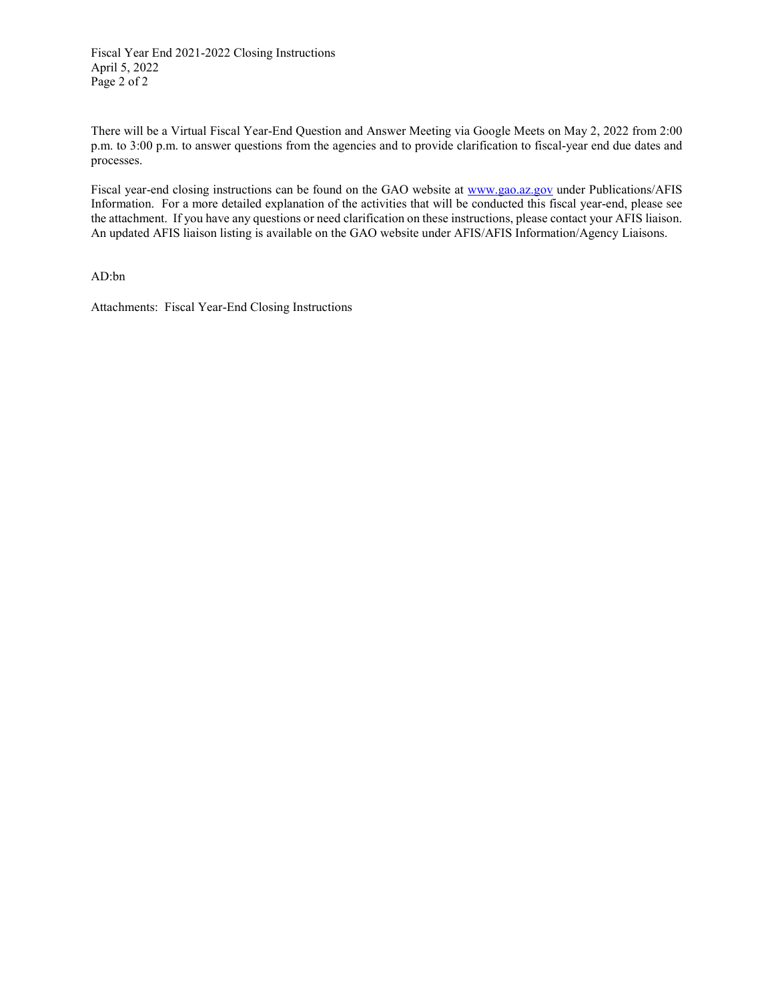Fiscal Year End 2021-2022 Closing Instructions April 5, 2022 Page 2 of 2

There will be a Virtual Fiscal Year-End Question and Answer Meeting via Google Meets on May 2, 2022 from 2:00 p.m. to 3:00 p.m. to answer questions from the agencies and to provide clarification to fiscal-year end due dates and processes.

Fiscal year-end closing instructions can be found on the GAO website at [www.gao.az.gov](http://www.gao.az.gov/) under Publications/AFIS Information. For a more detailed explanation of the activities that will be conducted this fiscal year-end, please see the attachment. If you have any questions or need clarification on these instructions, please contact your AFIS liaison. An updated AFIS liaison listing is available on the GAO website under AFIS/AFIS Information/Agency Liaisons.

AD:bn

Attachments: Fiscal Year-End Closing Instructions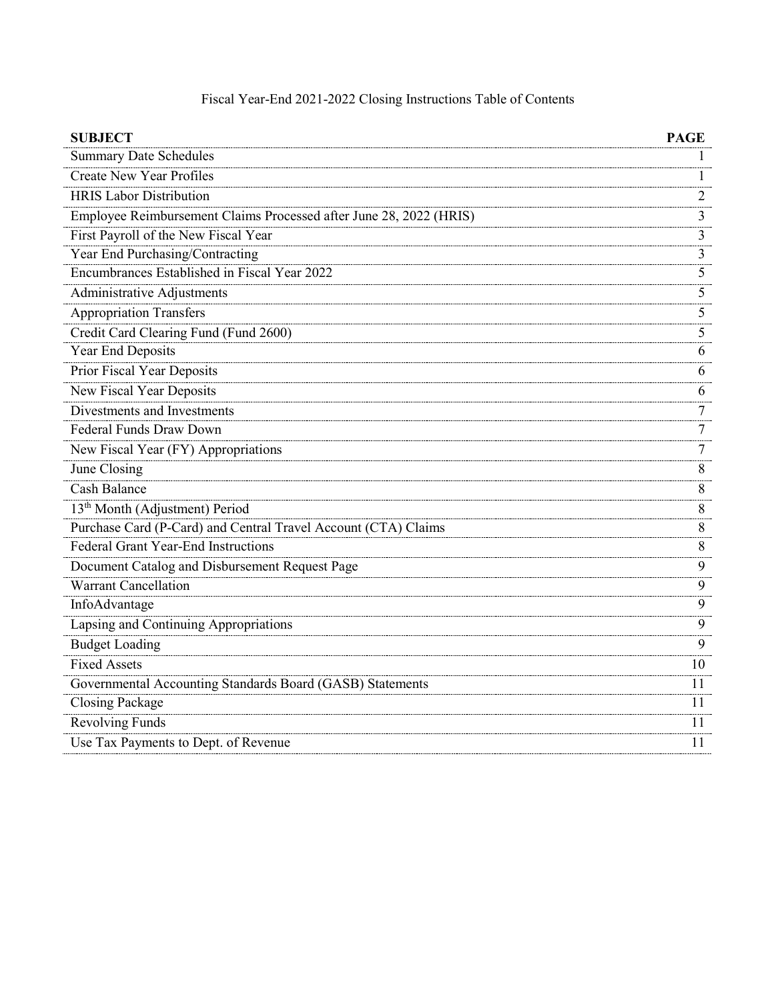| <b>SUBJECT</b>                                                     | PAGE           |
|--------------------------------------------------------------------|----------------|
| <b>Summary Date Schedules</b>                                      | 1              |
| <b>Create New Year Profiles</b>                                    | 1              |
| <b>HRIS Labor Distribution</b>                                     | $\overline{2}$ |
| Employee Reimbursement Claims Processed after June 28, 2022 (HRIS) | 3              |
| First Payroll of the New Fiscal Year                               | 3              |
| Year End Purchasing/Contracting                                    | 3              |
| Encumbrances Established in Fiscal Year 2022                       | 5              |
| Administrative Adjustments                                         | 5              |
| <b>Appropriation Transfers</b>                                     | 5              |
| Credit Card Clearing Fund (Fund 2600)                              | 5              |
| Year End Deposits                                                  | 6              |
| Prior Fiscal Year Deposits                                         | 6              |
| New Fiscal Year Deposits                                           | 6              |
| Divestments and Investments                                        | 7              |
| Federal Funds Draw Down                                            | 7              |
| New Fiscal Year (FY) Appropriations                                | $\overline{7}$ |
| June Closing                                                       | 8              |
| <b>Cash Balance</b>                                                | 8              |
| 13 <sup>th</sup> Month (Adjustment) Period                         | 8              |
| Purchase Card (P-Card) and Central Travel Account (CTA) Claims     | 8              |
| Federal Grant Year-End Instructions                                | 8              |
| Document Catalog and Disbursement Request Page                     | 9              |
| Warrant Cancellation                                               | 9              |
| InfoAdvantage                                                      | 9              |
| Lapsing and Continuing Appropriations                              | 9              |
| <b>Budget Loading</b>                                              | 9              |
| <b>Fixed Assets</b>                                                | 10             |
| Governmental Accounting Standards Board (GASB) Statements          | 11             |
| <b>Closing Package</b>                                             | 11             |
| <b>Revolving Funds</b>                                             | 11             |
| Use Tax Payments to Dept. of Revenue                               | 11             |

# Fiscal Year-End 2021-2022 Closing Instructions Table of Contents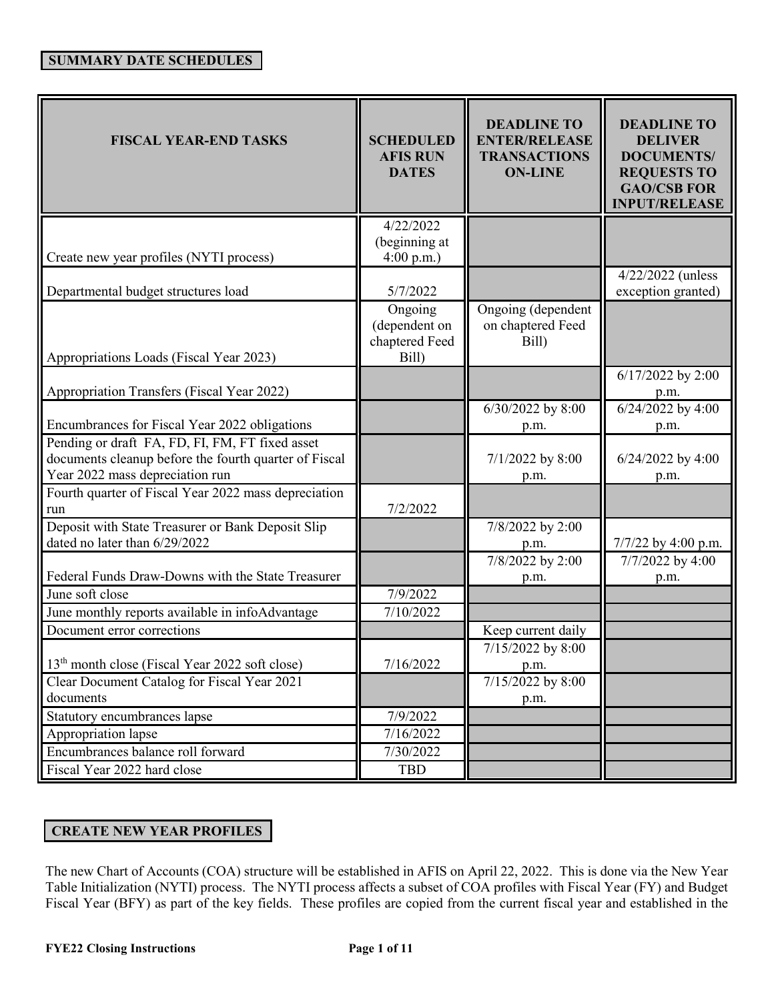| <b>FISCAL YEAR-END TASKS</b>                                                                                                                | <b>SCHEDULED</b><br><b>AFIS RUN</b><br><b>DATES</b> | <b>DEADLINE TO</b><br><b>ENTER/RELEASE</b><br><b>TRANSACTIONS</b><br><b>ON-LINE</b> | <b>DEADLINE TO</b><br><b>DELIVER</b><br><b>DOCUMENTS/</b><br><b>REQUESTS TO</b><br><b>GAO/CSB FOR</b><br><b>INPUT/RELEASE</b> |
|---------------------------------------------------------------------------------------------------------------------------------------------|-----------------------------------------------------|-------------------------------------------------------------------------------------|-------------------------------------------------------------------------------------------------------------------------------|
| Create new year profiles (NYTI process)                                                                                                     | 4/22/2022<br>(beginning at<br>4:00 p.m.             |                                                                                     |                                                                                                                               |
| Departmental budget structures load                                                                                                         | 5/7/2022<br>Ongoing                                 | Ongoing (dependent                                                                  | 4/22/2022 (unless<br>exception granted)                                                                                       |
| Appropriations Loads (Fiscal Year 2023)                                                                                                     | (dependent on<br>chaptered Feed<br>Bill)            | on chaptered Feed<br>Bill)                                                          |                                                                                                                               |
| Appropriation Transfers (Fiscal Year 2022)                                                                                                  |                                                     |                                                                                     | 6/17/2022 by 2:00<br>p.m.                                                                                                     |
| Encumbrances for Fiscal Year 2022 obligations                                                                                               |                                                     | 6/30/2022 by 8:00<br>p.m.                                                           | 6/24/2022 by 4:00<br>p.m.                                                                                                     |
| Pending or draft FA, FD, FI, FM, FT fixed asset<br>documents cleanup before the fourth quarter of Fiscal<br>Year 2022 mass depreciation run |                                                     | 7/1/2022 by 8:00<br>p.m.                                                            | 6/24/2022 by 4:00<br>p.m.                                                                                                     |
| Fourth quarter of Fiscal Year 2022 mass depreciation<br>run                                                                                 | 7/2/2022                                            |                                                                                     |                                                                                                                               |
| Deposit with State Treasurer or Bank Deposit Slip<br>dated no later than 6/29/2022                                                          |                                                     | 7/8/2022 by 2:00<br>p.m.                                                            | 7/7/22 by 4:00 p.m.                                                                                                           |
| Federal Funds Draw-Downs with the State Treasurer                                                                                           |                                                     | 7/8/2022 by 2:00<br>p.m.                                                            | 7/7/2022 by 4:00<br>p.m.                                                                                                      |
| June soft close                                                                                                                             | 7/9/2022                                            |                                                                                     |                                                                                                                               |
| June monthly reports available in infoAdvantage<br>Document error corrections                                                               | 7/10/2022                                           | Keep current daily                                                                  |                                                                                                                               |
| 13 <sup>th</sup> month close (Fiscal Year 2022 soft close)                                                                                  | 7/16/2022                                           | 7/15/2022 by 8:00<br>p.m.                                                           |                                                                                                                               |
| Clear Document Catalog for Fiscal Year 2021<br>documents                                                                                    |                                                     | 7/15/2022 by 8:00<br>p.m.                                                           |                                                                                                                               |
| Statutory encumbrances lapse                                                                                                                | 7/9/2022                                            |                                                                                     |                                                                                                                               |
| Appropriation lapse                                                                                                                         | 7/16/2022                                           |                                                                                     |                                                                                                                               |
| Encumbrances balance roll forward                                                                                                           | 7/30/2022                                           |                                                                                     |                                                                                                                               |
| Fiscal Year 2022 hard close                                                                                                                 | TBD                                                 |                                                                                     |                                                                                                                               |

## **CREATE NEW YEAR PROFILES**

The new Chart of Accounts (COA) structure will be established in AFIS on April 22, 2022. This is done via the New Year Table Initialization (NYTI) process. The NYTI process affects a subset of COA profiles with Fiscal Year (FY) and Budget Fiscal Year (BFY) as part of the key fields. These profiles are copied from the current fiscal year and established in the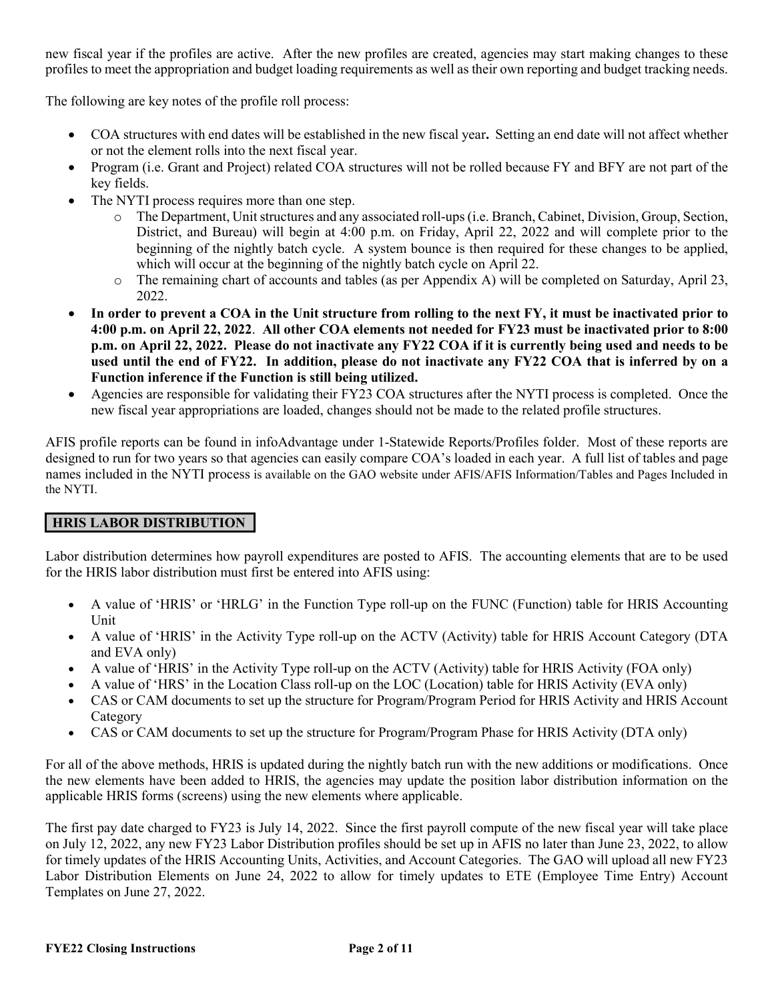new fiscal year if the profiles are active. After the new profiles are created, agencies may start making changes to these profiles to meet the appropriation and budget loading requirements as well as their own reporting and budget tracking needs.

The following are key notes of the profile roll process:

- COA structures with end dates will be established in the new fiscal year**.** Setting an end date will not affect whether or not the element rolls into the next fiscal year.
- Program (i.e. Grant and Project) related COA structures will not be rolled because FY and BFY are not part of the key fields.
- The NYTI process requires more than one step.
	- o The Department, Unit structures and any associated roll-ups (i.e. Branch, Cabinet, Division, Group, Section, District, and Bureau) will begin at 4:00 p.m. on Friday, April 22, 2022 and will complete prior to the beginning of the nightly batch cycle. A system bounce is then required for these changes to be applied, which will occur at the beginning of the nightly batch cycle on April 22.
	- o The remaining chart of accounts and tables (as per Appendix A) will be completed on Saturday, April 23, 2022.
- **In order to prevent a COA in the Unit structure from rolling to the next FY, it must be inactivated prior to 4:00 p.m. on April 22, 2022**. **All other COA elements not needed for FY23 must be inactivated prior to 8:00 p.m. on April 22, 2022. Please do not inactivate any FY22 COA if it is currently being used and needs to be used until the end of FY22. In addition, please do not inactivate any FY22 COA that is inferred by on a Function inference if the Function is still being utilized.**
- Agencies are responsible for validating their FY23 COA structures after the NYTI process is completed. Once the new fiscal year appropriations are loaded, changes should not be made to the related profile structures.

AFIS profile reports can be found in infoAdvantage under 1-Statewide Reports/Profiles folder. Most of these reports are designed to run for two years so that agencies can easily compare COA's loaded in each year. A full list of tables and page names included in the NYTI process is available on the GAO website under AFIS/AFIS Information/Tables and Pages Included in the NYTI.

## **HRIS LABOR DISTRIBUTION**

Labor distribution determines how payroll expenditures are posted to AFIS. The accounting elements that are to be used for the HRIS labor distribution must first be entered into AFIS using:

- A value of 'HRIS' or 'HRLG' in the Function Type roll-up on the FUNC (Function) table for HRIS Accounting Unit
- A value of 'HRIS' in the Activity Type roll-up on the ACTV (Activity) table for HRIS Account Category (DTA and EVA only)
- A value of 'HRIS' in the Activity Type roll-up on the ACTV (Activity) table for HRIS Activity (FOA only)
- A value of 'HRS' in the Location Class roll-up on the LOC (Location) table for HRIS Activity (EVA only)
- CAS or CAM documents to set up the structure for Program/Program Period for HRIS Activity and HRIS Account Category
- CAS or CAM documents to set up the structure for Program/Program Phase for HRIS Activity (DTA only)

For all of the above methods, HRIS is updated during the nightly batch run with the new additions or modifications. Once the new elements have been added to HRIS, the agencies may update the position labor distribution information on the applicable HRIS forms (screens) using the new elements where applicable.

The first pay date charged to FY23 is July 14, 2022. Since the first payroll compute of the new fiscal year will take place on July 12, 2022, any new FY23 Labor Distribution profiles should be set up in AFIS no later than June 23, 2022, to allow for timely updates of the HRIS Accounting Units, Activities, and Account Categories. The GAO will upload all new FY23 Labor Distribution Elements on June 24, 2022 to allow for timely updates to ETE (Employee Time Entry) Account Templates on June 27, 2022.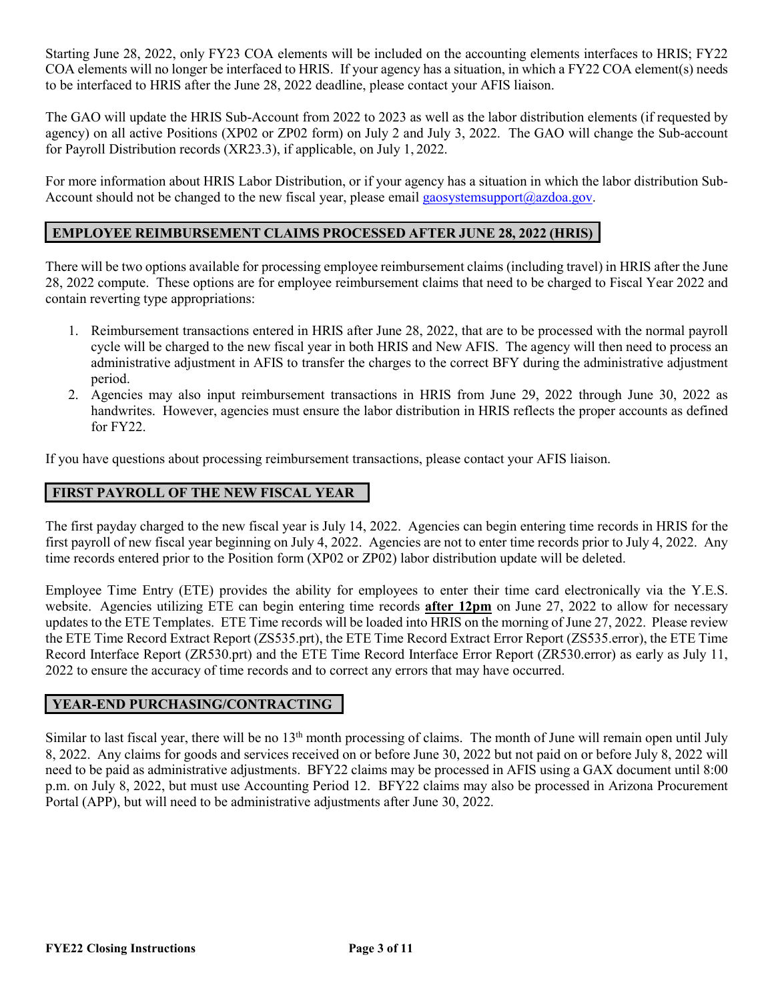Starting June 28, 2022, only FY23 COA elements will be included on the accounting elements interfaces to HRIS; FY22 COA elements will no longer be interfaced to HRIS. If your agency has a situation, in which a FY22 COA element(s) needs to be interfaced to HRIS after the June 28, 2022 deadline, please contact your AFIS liaison.

The GAO will update the HRIS Sub-Account from 2022 to 2023 as well as the labor distribution elements (if requested by agency) on all active Positions (XP02 or ZP02 form) on July 2 and July 3, 2022. The GAO will change the Sub-account for Payroll Distribution records (XR23.3), if applicable, on July 1, 2022.

For more information about HRIS Labor Distribution, or if your agency has a situation in which the labor distribution Sub-Account should not be changed to the new fiscal year, please email [gaosystemsupport@azdoa.gov.](mailto:gaosystemsupport@azdoa.gov)

### **EMPLOYEE REIMBURSEMENT CLAIMS PROCESSED AFTER JUNE 28, 2022 (HRIS)**

There will be two options available for processing employee reimbursement claims (including travel) in HRIS after the June 28, 2022 compute. These options are for employee reimbursement claims that need to be charged to Fiscal Year 2022 and contain reverting type appropriations:

- 1. Reimbursement transactions entered in HRIS after June 28, 2022, that are to be processed with the normal payroll cycle will be charged to the new fiscal year in both HRIS and New AFIS. The agency will then need to process an administrative adjustment in AFIS to transfer the charges to the correct BFY during the administrative adjustment period.
- 2. Agencies may also input reimbursement transactions in HRIS from June 29, 2022 through June 30, 2022 as handwrites. However, agencies must ensure the labor distribution in HRIS reflects the proper accounts as defined for FY22.

If you have questions about processing reimbursement transactions, please contact your AFIS liaison.

#### **FIRST PAYROLL OF THE NEW FISCAL YEAR**

The first payday charged to the new fiscal year is July 14, 2022. Agencies can begin entering time records in HRIS for the first payroll of new fiscal year beginning on July 4, 2022. Agencies are not to enter time records prior to July 4, 2022. Any time records entered prior to the Position form (XP02 or ZP02) labor distribution update will be deleted.

Employee Time Entry (ETE) provides the ability for employees to enter their time card electronically via the Y.E.S. website. Agencies utilizing ETE can begin entering time records **after 12pm** on June 27, 2022 to allow for necessary updates to the ETE Templates. ETE Time records will be loaded into HRIS on the morning of June 27, 2022. Please review the ETE Time Record Extract Report (ZS535.prt), the ETE Time Record Extract Error Report (ZS535.error), the ETE Time Record Interface Report (ZR530.prt) and the ETE Time Record Interface Error Report (ZR530.error) as early as July 11, 2022 to ensure the accuracy of time records and to correct any errors that may have occurred.

#### **YEAR-END PURCHASING/CONTRACTING**

Similar to last fiscal year, there will be no 13<sup>th</sup> month processing of claims. The month of June will remain open until July 8, 2022. Any claims for goods and services received on or before June 30, 2022 but not paid on or before July 8, 2022 will need to be paid as administrative adjustments. BFY22 claims may be processed in AFIS using a GAX document until 8:00 p.m. on July 8, 2022, but must use Accounting Period 12. BFY22 claims may also be processed in Arizona Procurement Portal (APP), but will need to be administrative adjustments after June 30, 2022.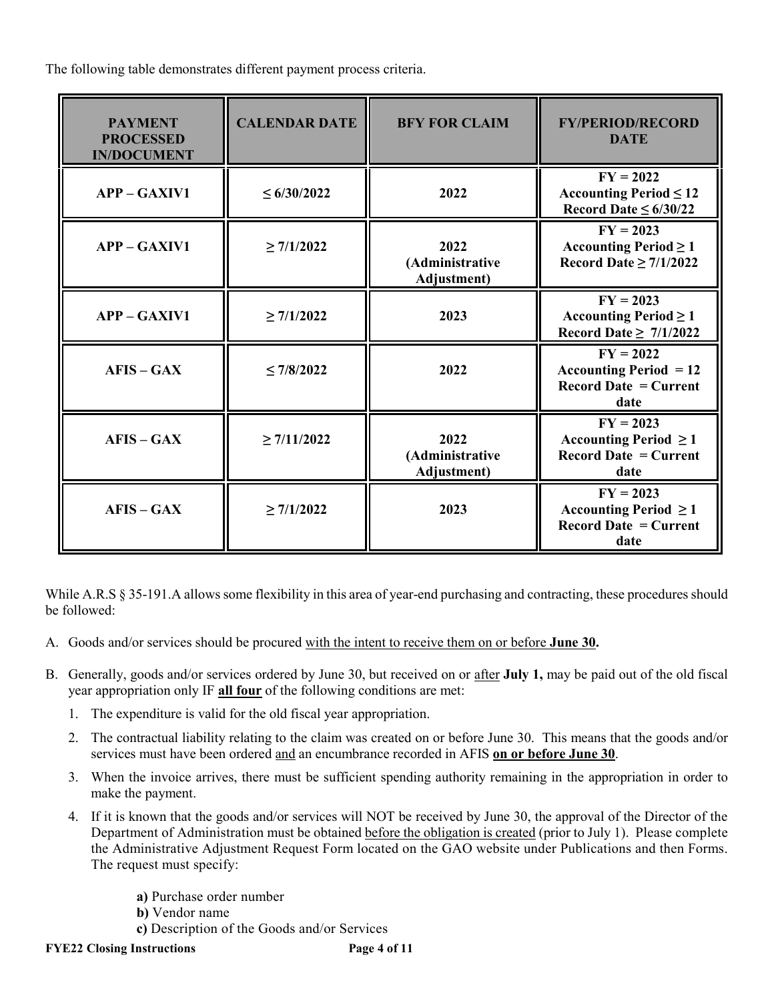The following table demonstrates different payment process criteria.

| <b>PAYMENT</b><br><b>PROCESSED</b><br><b>IN/DOCUMENT</b> | <b>CALENDAR DATE</b> | <b>BFY FOR CLAIM</b>                           | <b>FY/PERIOD/RECORD</b><br><b>DATE</b>                                            |
|----------------------------------------------------------|----------------------|------------------------------------------------|-----------------------------------------------------------------------------------|
| $APP - GAXIV1$                                           | $\leq 6/30/2022$     | 2022                                           | $FY = 2022$<br>Accounting Period $\leq 12$<br>Record Date $\leq 6/30/22$          |
| $APP - GAXIV1$                                           | $\geq 7/1/2022$      | 2022<br>(Administrative<br><b>Adjustment</b> ) | $FY = 2023$<br>Accounting Period $\geq 1$<br>Record Date $\geq$ 7/1/2022          |
| <b>APP - GAXIV1</b>                                      | $\geq$ 7/1/2022      | 2023                                           | $FY = 2023$<br>Accounting Period $\geq 1$<br>Record Date $\geq 7/1/2022$          |
| $AFIS - GAX$                                             | $\leq 7/8/2022$      | 2022                                           | $FY = 2022$<br>Accounting Period $= 12$<br>Record Date $=$ Current<br>date        |
| $AFIS - GAX$                                             | $\geq$ 7/11/2022     | 2022<br>(Administrative<br>Adjustment)         | $FY = 2023$<br>Accounting Period $\geq 1$<br>Record Date $=$ Current<br>date      |
| $AFIS - GAX$                                             | $\geq 7/1/2022$      | 2023                                           | $FY = 2023$<br>Accounting Period $\geq 1$<br><b>Record Date = Current</b><br>date |

While A.R.S § 35-191.A allows some flexibility in this area of year-end purchasing and contracting, these procedures should be followed:

- A. Goods and/or services should be procured with the intent to receive them on or before **June 30.**
- B. Generally, goods and/or services ordered by June 30, but received on or after **July 1,** may be paid out of the old fiscal year appropriation only IF **all four** of the following conditions are met:
	- 1. The expenditure is valid for the old fiscal year appropriation.
	- 2. The contractual liability relating to the claim was created on or before June 30. This means that the goods and/or services must have been ordered and an encumbrance recorded in AFIS **on or before June 30**.
	- 3. When the invoice arrives, there must be sufficient spending authority remaining in the appropriation in order to make the payment.
	- 4. If it is known that the goods and/or services will NOT be received by June 30, the approval of the Director of the Department of Administration must be obtained before the obligation is created (prior to July 1). Please complete the Administrative Adjustment Request Form located on the GAO website under Publications and then Forms. The request must specify:
		- **a)** Purchase order number  **b)** Vendor name  **c)** Description of the Goods and/or Services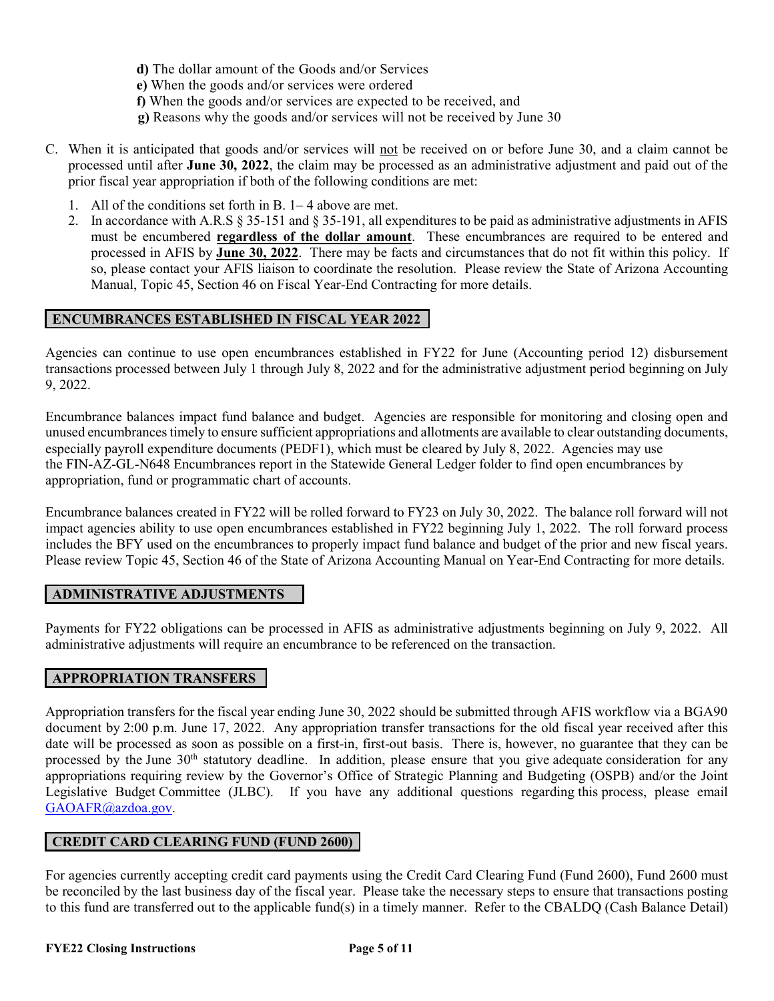- **d)** The dollar amount of the Goods and/or Services
- **e)** When the goods and/or services were ordered
- **f)** When the goods and/or services are expected to be received, and
- **g)** Reasons why the goods and/or services will not be received by June 30
- C. When it is anticipated that goods and/or services will not be received on or before June 30, and a claim cannot be processed until after **June 30, 2022**, the claim may be processed as an administrative adjustment and paid out of the prior fiscal year appropriation if both of the following conditions are met:
	- 1. All of the conditions set forth in B. 1– 4 above are met.
	- 2. In accordance with A.R.S § 35-151 and § 35-191, all expenditures to be paid as administrative adjustments in AFIS must be encumbered **regardless of the dollar amount**. These encumbrances are required to be entered and processed in AFIS by **June 30, 2022**. There may be facts and circumstances that do not fit within this policy. If so, please contact your AFIS liaison to coordinate the resolution. Please review the State of Arizona Accounting Manual, Topic 45, Section 46 on Fiscal Year-End Contracting for more details.

#### **ENCUMBRANCES ESTABLISHED IN FISCAL YEAR 2022**

Agencies can continue to use open encumbrances established in FY22 for June (Accounting period 12) disbursement transactions processed between July 1 through July 8, 2022 and for the administrative adjustment period beginning on July 9, 2022.

Encumbrance balances impact fund balance and budget. Agencies are responsible for monitoring and closing open and unused encumbrances timely to ensure sufficient appropriations and allotments are available to clear outstanding documents, especially payroll expenditure documents (PEDF1), which must be cleared by July 8, 2022. Agencies may use the FIN-AZ-GL-N648 Encumbrances report in the Statewide General Ledger folder to find open encumbrances by appropriation, fund or programmatic chart of accounts.

Encumbrance balances created in FY22 will be rolled forward to FY23 on July 30, 2022. The balance roll forward will not impact agencies ability to use open encumbrances established in FY22 beginning July 1, 2022. The roll forward process includes the BFY used on the encumbrances to properly impact fund balance and budget of the prior and new fiscal years. Please review Topic 45, Section 46 of the State of Arizona Accounting Manual on Year-End Contracting for more details.

#### **ADMINISTRATIVE ADJUSTMENTS**

Payments for FY22 obligations can be processed in AFIS as administrative adjustments beginning on July 9, 2022. All administrative adjustments will require an encumbrance to be referenced on the transaction.

#### **APPROPRIATION TRANSFERS**

Appropriation transfers for the fiscal year ending June 30, 2022 should be submitted through AFIS workflow via a BGA90 document by 2:00 p.m. June 17, 2022. Any appropriation transfer transactions for the old fiscal year received after this date will be processed as soon as possible on a first-in, first-out basis. There is, however, no guarantee that they can be processed by the June 30th statutory deadline. In addition, please ensure that you give adequate consideration for any appropriations requiring review by the Governor's Office of Strategic Planning and Budgeting (OSPB) and/or the Joint Legislative Budget Committee (JLBC). If you have any additional questions regarding this process, please email GAOAFR@azdoa.gov.

#### **CREDIT CARD CLEARING FUND (FUND 2600)**

For agencies currently accepting credit card payments using the Credit Card Clearing Fund (Fund 2600), Fund 2600 must be reconciled by the last business day of the fiscal year. Please take the necessary steps to ensure that transactions posting to this fund are transferred out to the applicable fund(s) in a timely manner. Refer to the CBALDQ (Cash Balance Detail)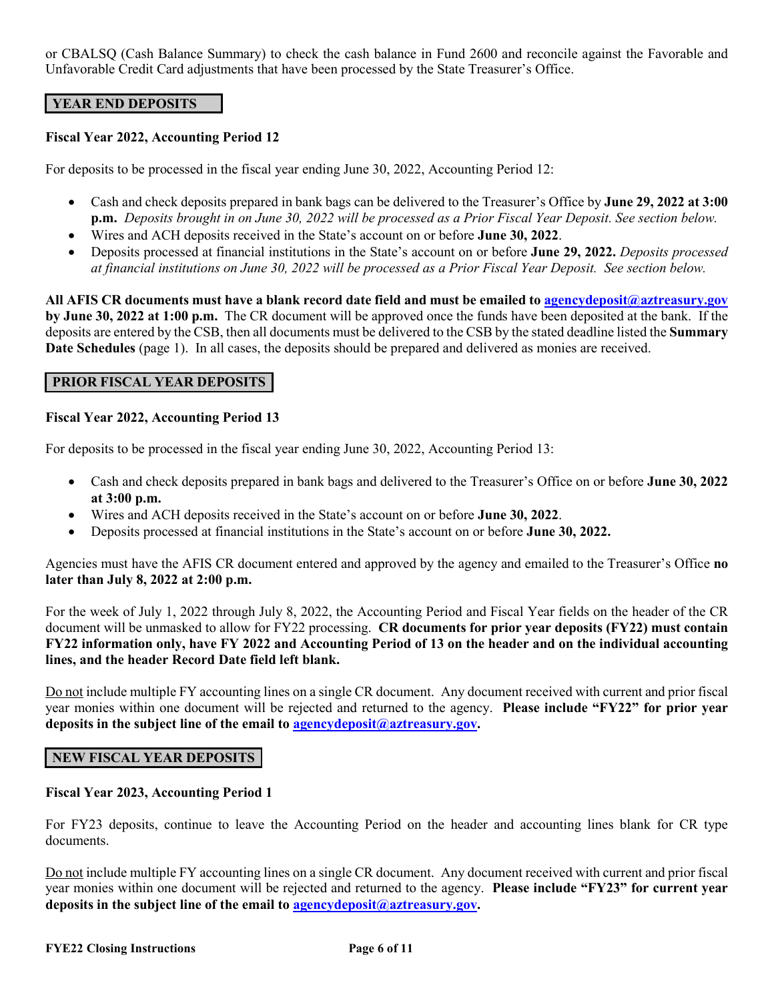or CBALSQ (Cash Balance Summary) to check the cash balance in Fund 2600 and reconcile against the Favorable and Unfavorable Credit Card adjustments that have been processed by the State Treasurer's Office.

#### **YEAR END DEPOSITS**

#### **Fiscal Year 2022, Accounting Period 12**

For deposits to be processed in the fiscal year ending June 30, 2022, Accounting Period 12:

- Cash and check deposits prepared in bank bags can be delivered to the Treasurer's Office by **June 29, 2022 at 3:00 p.m.** *Deposits brought in on June 30, 2022 will be processed as a Prior Fiscal Year Deposit. See section below.*
- Wires and ACH deposits received in the State's account on or before **June 30, 2022**.
- Deposits processed at financial institutions in the State's account on or before **June 29, 2022.** *Deposits processed at financial institutions on June 30, 2022 will be processed as a Prior Fiscal Year Deposit. See section below.*

**All AFIS CR documents must have a blank record date field and must be emailed t[o agencydeposit@aztreasury.gov](mailto:agencydeposit@aztreasury.gov) by June 30, 2022 at 1:00 p.m.** The CR document will be approved once the funds have been deposited at the bank. If the deposits are entered by the CSB, then all documents must be delivered to the CSB by the stated deadline listed the **Summary Date Schedules** (page 1). In all cases, the deposits should be prepared and delivered as monies are received.

#### **PRIOR FISCAL YEAR DEPOSITS**

#### **Fiscal Year 2022, Accounting Period 13**

For deposits to be processed in the fiscal year ending June 30, 2022, Accounting Period 13:

- Cash and check deposits prepared in bank bags and delivered to the Treasurer's Office on or before **June 30, 2022 at 3:00 p.m.**
- Wires and ACH deposits received in the State's account on or before **June 30, 2022**.
- Deposits processed at financial institutions in the State's account on or before **June 30, 2022.**

Agencies must have the AFIS CR document entered and approved by the agency and emailed to the Treasurer's Office **no later than July 8, 2022 at 2:00 p.m.**

For the week of July 1, 2022 through July 8, 2022, the Accounting Period and Fiscal Year fields on the header of the CR document will be unmasked to allow for FY22 processing. **CR documents for prior year deposits (FY22) must contain FY22 information only, have FY 2022 and Accounting Period of 13 on the header and on the individual accounting lines, and the header Record Date field left blank.** 

Do not include multiple FY accounting lines on a single CR document. Any document received with current and prior fiscal year monies within one document will be rejected and returned to the agency. **Please include "FY22" for prior year deposits in the subject line of the email to [agencydeposit@aztreasury.gov.](mailto:agencydeposit@aztreasury.gov)** 

### **NEW FISCAL YEAR DEPOSITS**

#### **Fiscal Year 2023, Accounting Period 1**

For FY23 deposits, continue to leave the Accounting Period on the header and accounting lines blank for CR type documents.

Do not include multiple FY accounting lines on a single CR document. Any document received with current and prior fiscal year monies within one document will be rejected and returned to the agency. **Please include "FY23" for current year deposits in the subject line of the email to [agencydeposit@aztreasury.gov.](mailto:agencydeposit@aztreasury.gov)**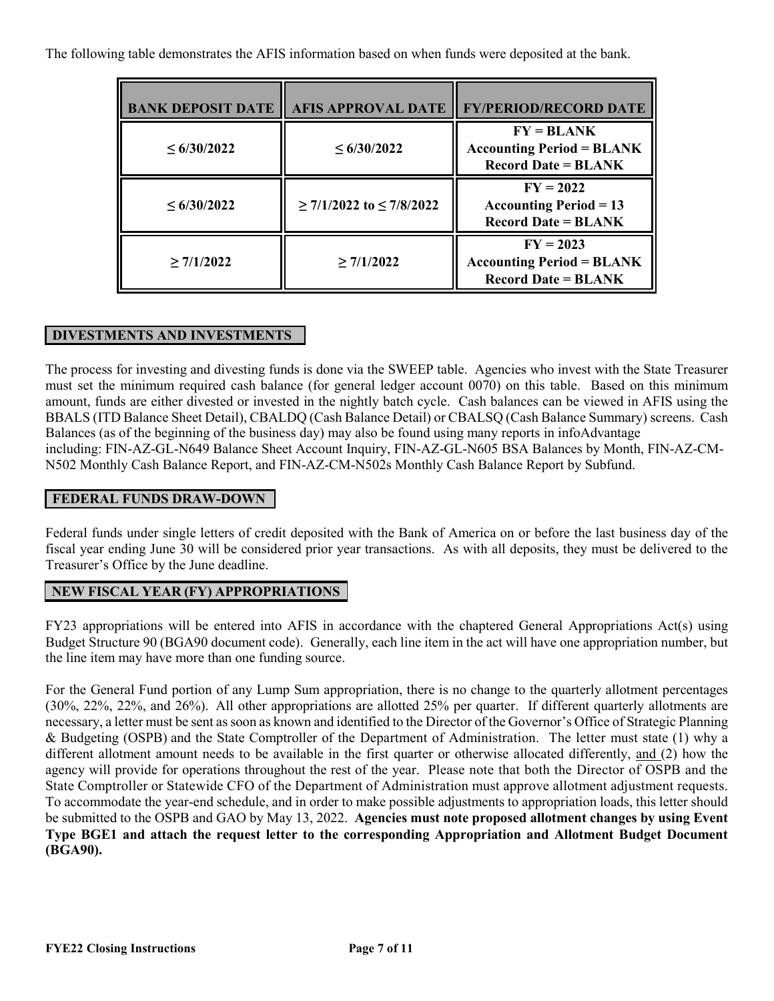The following table demonstrates the AFIS information based on when funds were deposited at the bank.

| <b>BANK DEPOSIT DATE</b> | <b>AFIS APPROVAL DATE</b>          | <b>FY/PERIOD/RECORD DATE</b>                                                            |
|--------------------------|------------------------------------|-----------------------------------------------------------------------------------------|
| $\leq 6/30/2022$         | $\leq 6/30/2022$                   | $FY = BLANK$<br><b>Accounting Period = BLANK</b><br>$\text{Record Date} = \text{BLANK}$ |
| $\leq 6/30/2022$         | $\geq$ 7/1/2022 to $\leq$ 7/8/2022 | $FY = 2022$<br>Accounting Period $= 13$<br><b>Record Date = BLANK</b>                   |
| $\geq 7/1/2022$          | $\geq$ 7/1/2022                    | $FY = 2023$<br><b>Accounting Period = BLANK</b><br>$\text{Record Date} = \text{BLANK}$  |

## **DIVESTMENTS AND INVESTMENTS**

The process for investing and divesting funds is done via the SWEEP table. Agencies who invest with the State Treasurer must set the minimum required cash balance (for general ledger account 0070) on this table. Based on this minimum amount, funds are either divested or invested in the nightly batch cycle. Cash balances can be viewed in AFIS using the BBALS (ITD Balance Sheet Detail), CBALDQ (Cash Balance Detail) or CBALSQ (Cash Balance Summary) screens. Cash Balances (as of the beginning of the business day) may also be found using many reports in infoAdvantage including: FIN-AZ-GL-N649 Balance Sheet Account Inquiry, FIN-AZ-GL-N605 BSA Balances by Month, FIN-AZ-CM-N502 Monthly Cash Balance Report, and FIN-AZ-CM-N502s Monthly Cash Balance Report by Subfund.

### **FEDERAL FUNDS DRAW-DOWN**

Federal funds under single letters of credit deposited with the Bank of America on or before the last business day of the fiscal year ending June 30 will be considered prior year transactions. As with all deposits, they must be delivered to the Treasurer's Office by the June deadline.

### **NEW FISCAL YEAR (FY) APPROPRIATIONS**

FY23 appropriations will be entered into AFIS in accordance with the chaptered General Appropriations Act(s) using Budget Structure 90 (BGA90 document code). Generally, each line item in the act will have one appropriation number, but the line item may have more than one funding source.

For the General Fund portion of any Lump Sum appropriation, there is no change to the quarterly allotment percentages (30%, 22%, 22%, and 26%). All other appropriations are allotted 25% per quarter. If different quarterly allotments are necessary, a letter must be sent as soon as known and identified to the Director of the Governor's Office of Strategic Planning & Budgeting (OSPB) and the State Comptroller of the Department of Administration. The letter must state (1) why a different allotment amount needs to be available in the first quarter or otherwise allocated differently, and (2) how the agency will provide for operations throughout the rest of the year. Please note that both the Director of OSPB and the State Comptroller or Statewide CFO of the Department of Administration must approve allotment adjustment requests. To accommodate the year-end schedule, and in order to make possible adjustments to appropriation loads, this letter should be submitted to the OSPB and GAO by May 13, 2022. **Agencies must note proposed allotment changes by using Event Type BGE1 and attach the request letter to the corresponding Appropriation and Allotment Budget Document (BGA90).**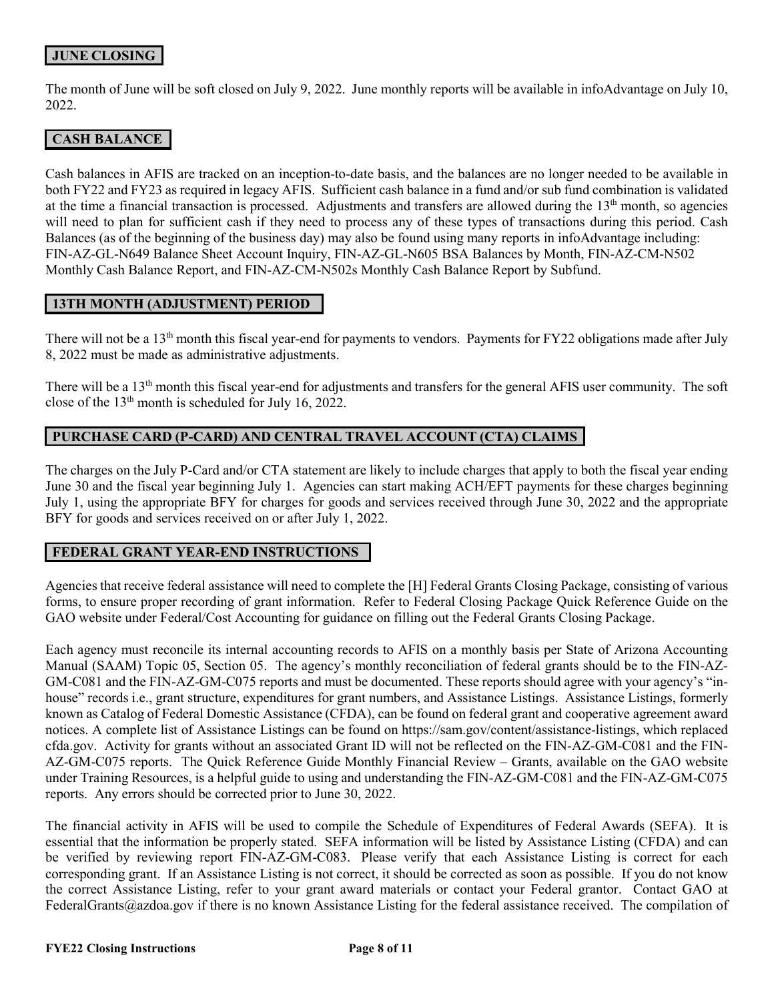## **JUNE CLOSING**

The month of June will be soft closed on July 9, 2022. June monthly reports will be available in infoAdvantage on July 10, 2022.

### **CASH BALANCE**

Cash balances in AFIS are tracked on an inception-to-date basis, and the balances are no longer needed to be available in both FY22 and FY23 as required in legacy AFIS. Sufficient cash balance in a fund and/or sub fund combination is validated at the time a financial transaction is processed. Adjustments and transfers are allowed during the  $13<sup>th</sup>$  month, so agencies will need to plan for sufficient cash if they need to process any of these types of transactions during this period. Cash Balances (as of the beginning of the business day) may also be found using many reports in infoAdvantage including: FIN-AZ-GL-N649 Balance Sheet Account Inquiry, FIN-AZ-GL-N605 BSA Balances by Month, FIN-AZ-CM-N502 Monthly Cash Balance Report, and FIN-AZ-CM-N502s Monthly Cash Balance Report by Subfund.

#### **13TH MONTH (ADJUSTMENT) PERIOD**

There will not be a 13<sup>th</sup> month this fiscal year-end for payments to vendors. Payments for FY22 obligations made after July 8, 2022 must be made as administrative adjustments.

There will be a 13<sup>th</sup> month this fiscal year-end for adjustments and transfers for the general AFIS user community. The soft close of the  $13<sup>th</sup>$  month is scheduled for July 16, 2022.

### **PURCHASE CARD (P-CARD) AND CENTRAL TRAVEL ACCOUNT (CTA) CLAIMS**

The charges on the July P-Card and/or CTA statement are likely to include charges that apply to both the fiscal year ending June 30 and the fiscal year beginning July 1. Agencies can start making ACH/EFT payments for these charges beginning July 1, using the appropriate BFY for charges for goods and services received through June 30, 2022 and the appropriate BFY for goods and services received on or after July 1, 2022.

#### **FEDERAL GRANT YEAR-END INSTRUCTIONS**

Agencies that receive federal assistance will need to complete the [H] Federal Grants Closing Package, consisting of various forms, to ensure proper recording of grant information. Refer to Federal Closing Package Quick Reference Guide on the GAO website under Federal/Cost Accounting for guidance on filling out the Federal Grants Closing Package.

Each agency must reconcile its internal accounting records to AFIS on a monthly basis per State of Arizona Accounting Manual (SAAM) Topic 05, Section 05. The agency's monthly reconciliation of federal grants should be to the FIN-AZ-GM-C081 and the FIN-AZ-GM-C075 reports and must be documented. These reports should agree with your agency's "inhouse" records i.e., grant structure, expenditures for grant numbers, and Assistance Listings. Assistance Listings, formerly known as Catalog of Federal Domestic Assistance (CFDA), can be found on federal grant and cooperative agreement award notices. A complete list of Assistance Listings can be found on [https://sam.gov/content/assistance-listings,](https://sam.gov/content/assistance-listings) which replaced cfda.gov. Activity for grants without an associated Grant ID will not be reflected on the FIN-AZ-GM-C081 and the FIN-AZ-GM-C075 reports. The Quick Reference Guide Monthly Financial Review – Grants, available on the GAO website under Training Resources, is a helpful guide to using and understanding the FIN-AZ-GM-C081 and the FIN-AZ-GM-C075 reports. Any errors should be corrected prior to June 30, 2022.

The financial activity in AFIS will be used to compile the Schedule of Expenditures of Federal Awards (SEFA). It is essential that the information be properly stated. SEFA information will be listed by Assistance Listing (CFDA) and can be verified by reviewing report FIN-AZ-GM-C083. Please verify that each Assistance Listing is correct for each corresponding grant. If an Assistance Listing is not correct, it should be corrected as soon as possible. If you do not know the correct Assistance Listing, refer to your grant award materials or contact your Federal grantor. Contact GAO at FederalGrants@azdoa.gov if there is no known Assistance Listing for the federal assistance received. The compilation of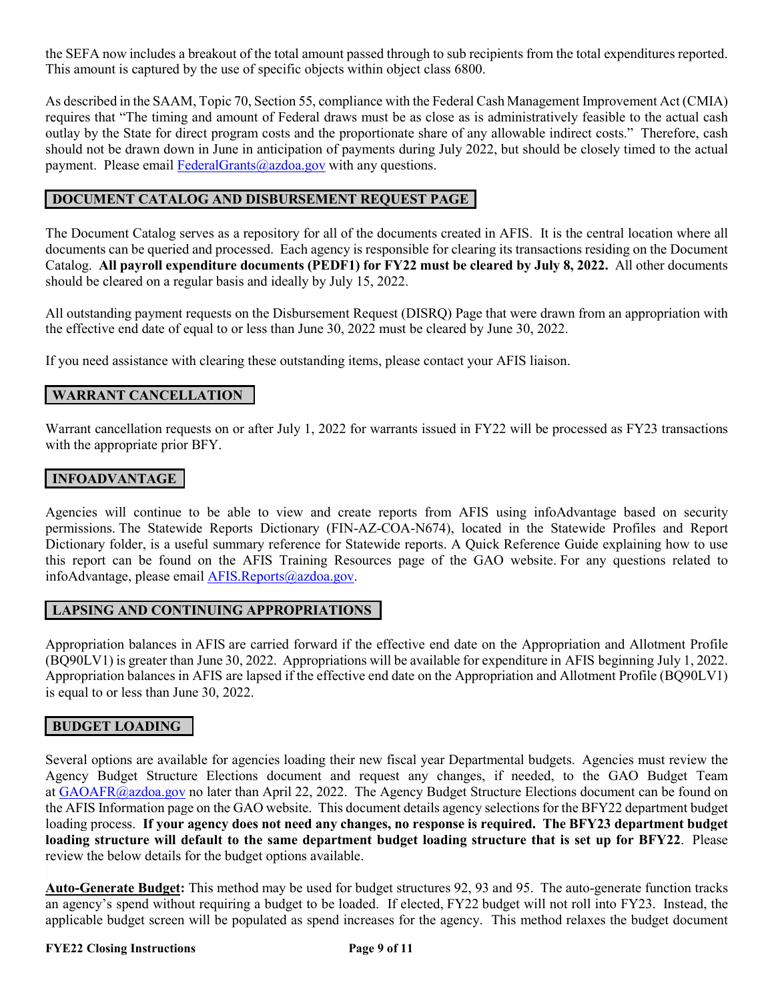the SEFA now includes a breakout of the total amount passed through to sub recipients from the total expenditures reported. This amount is captured by the use of specific objects within object class 6800.

As described in the SAAM, Topic 70, Section 55, compliance with the Federal Cash Management Improvement Act (CMIA) requires that "The timing and amount of Federal draws must be as close as is administratively feasible to the actual cash outlay by the State for direct program costs and the proportionate share of any allowable indirect costs." Therefore, cash should not be drawn down in June in anticipation of payments during July 2022, but should be closely timed to the actual payment. Please email [FederalGrants@azdoa.gov](mailto:FederalGrants@azdoa.gov) with any questions.

#### **DOCUMENT CATALOG AND DISBURSEMENT REQUEST PAGE**

The Document Catalog serves as a repository for all of the documents created in AFIS. It is the central location where all documents can be queried and processed. Each agency is responsible for clearing its transactions residing on the Document Catalog. **All payroll expenditure documents (PEDF1) for FY22 must be cleared by July 8, 2022.** All other documents should be cleared on a regular basis and ideally by July 15, 2022.

All outstanding payment requests on the Disbursement Request (DISRQ) Page that were drawn from an appropriation with the effective end date of equal to or less than June 30, 2022 must be cleared by June 30, 2022.

If you need assistance with clearing these outstanding items, please contact your AFIS liaison.

### **WARRANT CANCELLATION**

Warrant cancellation requests on or after July 1, 2022 for warrants issued in FY22 will be processed as FY23 transactions with the appropriate prior BFY.

### **INFOADVANTAGE**

Agencies will continue to be able to view and create reports from AFIS using infoAdvantage based on security permissions. The Statewide Reports Dictionary (FIN-AZ-COA-N674), located in the Statewide Profiles and Report Dictionary folder, is a useful summary reference for Statewide reports. A Quick Reference Guide explaining how to use this report can be found on the AFIS Training Resources page of the GAO website. For any questions related to infoAdvantage, please email [AFIS.Reports@azdoa.gov.](mailto:AFIS.Reports@azdoa.gov)

### **LAPSING AND CONTINUING APPROPRIATIONS**

Appropriation balances in AFIS are carried forward if the effective end date on the Appropriation and Allotment Profile (BQ90LV1) is greater than June 30, 2022. Appropriations will be available for expenditure in AFIS beginning July 1, 2022. Appropriation balances in AFIS are lapsed if the effective end date on the Appropriation and Allotment Profile (BQ90LV1) is equal to or less than June 30, 2022.

### **BUDGET LOADING**

Several options are available for agencies loading their new fiscal year Departmental budgets.Agencies must review the Agency Budget Structure Elections document and request any changes, if needed, to the GAO Budget Team at [GAOAFR@azdoa.gov](mailto:GAOAFR@azdoa.gov) no later than April 22, 2022. The Agency Budget Structure Elections document can be found on the AFIS Information page on the GAO website. This document details agency selections for the BFY22 department budget loading process. **If your agency does not need any changes, no response is required. The BFY23 department budget loading structure will default to the same department budget loading structure that is set up for BFY22**. Please review the below details for the budget options available.

**Auto-Generate Budget:** This method may be used for budget structures 92, 93 and 95. The auto-generate function tracks an agency's spend without requiring a budget to be loaded. If elected, FY22 budget will not roll into FY23. Instead, the applicable budget screen will be populated as spend increases for the agency. This method relaxes the budget document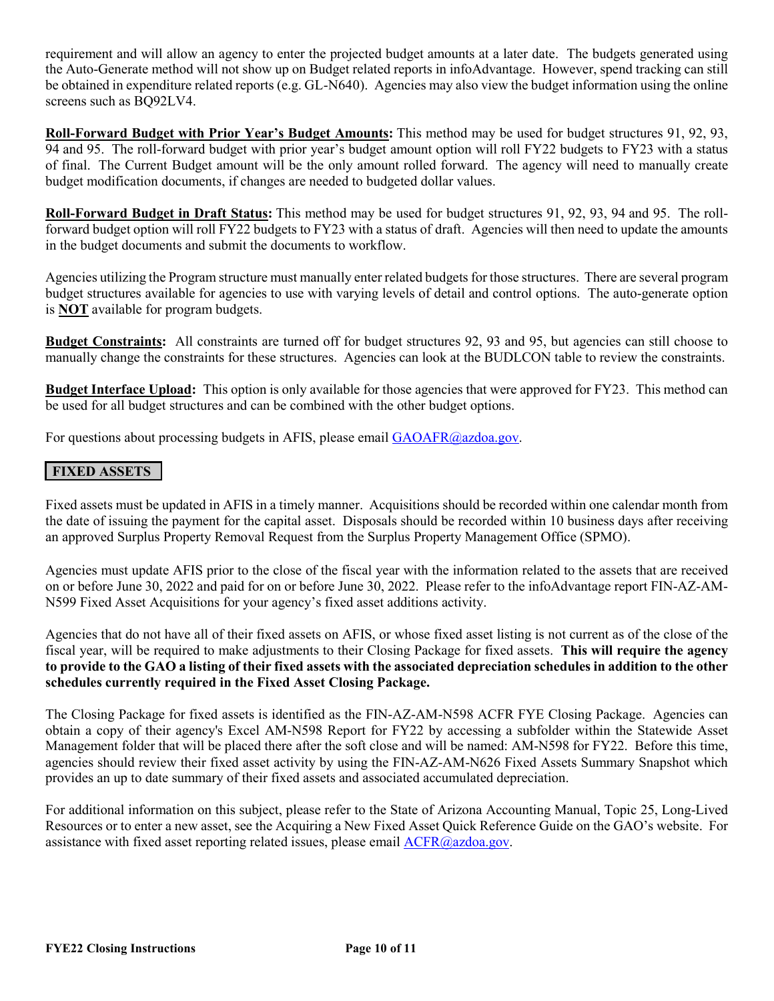requirement and will allow an agency to enter the projected budget amounts at a later date. The budgets generated using the Auto-Generate method will not show up on Budget related reports in infoAdvantage. However, spend tracking can still be obtained in expenditure related reports (e.g. GL-N640). Agencies may also view the budget information using the online screens such as BQ92LV4.

**Roll-Forward Budget with Prior Year's Budget Amounts:** This method may be used for budget structures 91, 92, 93, 94 and 95. The roll-forward budget with prior year's budget amount option will roll FY22 budgets to FY23 with a status of final. The Current Budget amount will be the only amount rolled forward. The agency will need to manually create budget modification documents, if changes are needed to budgeted dollar values.

**Roll-Forward Budget in Draft Status:** This method may be used for budget structures 91, 92, 93, 94 and 95. The rollforward budget option will roll FY22 budgets to FY23 with a status of draft. Agencies will then need to update the amounts in the budget documents and submit the documents to workflow.

Agencies utilizing the Program structure must manually enter related budgets for those structures. There are several program budget structures available for agencies to use with varying levels of detail and control options. The auto-generate option is **NOT** available for program budgets.

**Budget Constraints:** All constraints are turned off for budget structures 92, 93 and 95, but agencies can still choose to manually change the constraints for these structures. Agencies can look at the BUDLCON table to review the constraints.

**Budget Interface Upload:** This option is only available for those agencies that were approved for FY23. This method can be used for all budget structures and can be combined with the other budget options.

For questions about processing budgets in AFIS, please email [GAOAFR@azdoa.gov.](mailto:GAOAFR@azdoa.gov)

### **FIXED ASSETS**

Fixed assets must be updated in AFIS in a timely manner. Acquisitions should be recorded within one calendar month from the date of issuing the payment for the capital asset. Disposals should be recorded within 10 business days after receiving an approved Surplus Property Removal Request from the Surplus Property Management Office (SPMO).

Agencies must update AFIS prior to the close of the fiscal year with the information related to the assets that are received on or before June 30, 2022 and paid for on or before June 30, 2022. Please refer to the infoAdvantage report FIN-AZ-AM-N599 Fixed Asset Acquisitions for your agency's fixed asset additions activity.

Agencies that do not have all of their fixed assets on AFIS, or whose fixed asset listing is not current as of the close of the fiscal year, will be required to make adjustments to their Closing Package for fixed assets. **This will require the agency to provide to the GAO a listing of their fixed assets with the associated depreciation schedules in addition to the other schedules currently required in the Fixed Asset Closing Package.**

The Closing Package for fixed assets is identified as the FIN-AZ-AM-N598 ACFR FYE Closing Package. Agencies can obtain a copy of their agency's Excel AM-N598 Report for FY22 by accessing a subfolder within the Statewide Asset Management folder that will be placed there after the soft close and will be named: AM-N598 for FY22. Before this time, agencies should review their fixed asset activity by using the FIN-AZ-AM-N626 Fixed Assets Summary Snapshot which provides an up to date summary of their fixed assets and associated accumulated depreciation.

For additional information on this subject, please refer to the State of Arizona Accounting Manual, Topic 25, Long-Lived Resources or to enter a new asset, see the Acquiring a New Fixed Asset Quick Reference Guide on the GAO's website. For assistance with fixed asset reporting related issues, please email [ACFR@azdoa.gov.](mailto:ACFR@azdoa.gov)